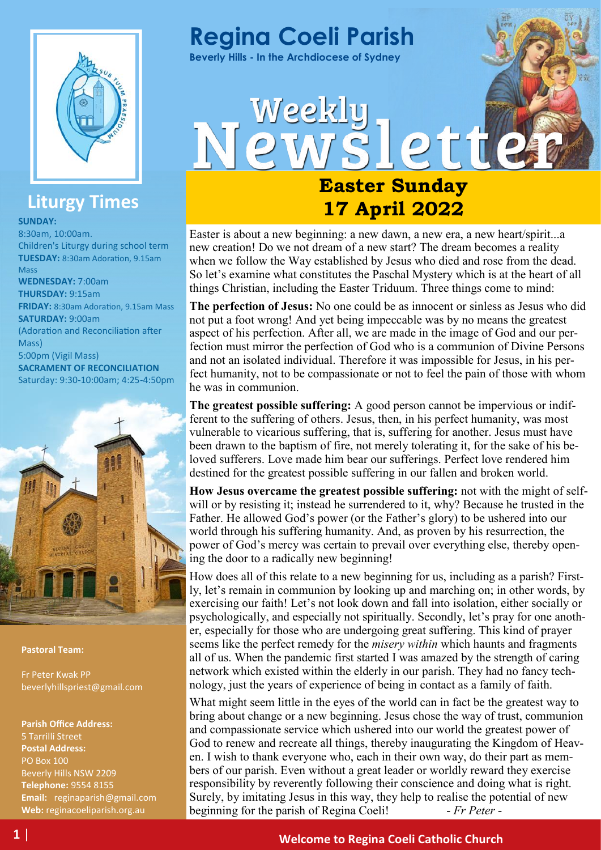

## **Liturgy Times**

**SUNDAY:**

8:30am, 10:00am. Children's Liturgy during school term **TUESDAY:** 8:30am Adoration, 9.15am Mass **WEDNESDAY:** 7:00am **THURSDAY:** 9:15am **FRIDAY:** 8:30am Adoration, 9.15am Mass **SATURDAY:** 9:00am (Adoration and Reconciliation after Mass) 5:00pm (Vigil Mass) **SACRAMENT OF RECONCILIATION**  Saturday: 9:30-10:00am; 4:25-4:50pm



#### **Pastoral Team:**

Fr Peter Kwak PP beverlyhillspriest@gmail.com

**Parish Office Address:** 5 Tarrilli Street **Postal Address:** PO Box 100 Beverly Hills NSW 2209 **Telephone:** 9554 8155 **Email:** reginaparish@gmail.com **Web:** reginacoeliparish.org.au



**Beverly Hills - In the Archdiocese of Sydney**

Weekly

# **Easter Sunday 17 April 2022**

lette

Easter is about a new beginning: a new dawn, a new era, a new heart/spirit...a new creation! Do we not dream of a new start? The dream becomes a reality when we follow the Way established by Jesus who died and rose from the dead. So let's examine what constitutes the Paschal Mystery which is at the heart of all things Christian, including the Easter Triduum. Three things come to mind:

**The perfection of Jesus:** No one could be as innocent or sinless as Jesus who did not put a foot wrong! And yet being impeccable was by no means the greatest aspect of his perfection. After all, we are made in the image of God and our perfection must mirror the perfection of God who is a communion of Divine Persons and not an isolated individual. Therefore it was impossible for Jesus, in his perfect humanity, not to be compassionate or not to feel the pain of those with whom he was in communion.

**The greatest possible suffering:** A good person cannot be impervious or indifferent to the suffering of others. Jesus, then, in his perfect humanity, was most vulnerable to vicarious suffering, that is, suffering for another. Jesus must have been drawn to the baptism of fire, not merely tolerating it, for the sake of his beloved sufferers. Love made him bear our sufferings. Perfect love rendered him destined for the greatest possible suffering in our fallen and broken world.

**How Jesus overcame the greatest possible suffering:** not with the might of selfwill or by resisting it; instead he surrendered to it, why? Because he trusted in the Father. He allowed God's power (or the Father's glory) to be ushered into our world through his suffering humanity. And, as proven by his resurrection, the power of God's mercy was certain to prevail over everything else, thereby opening the door to a radically new beginning!

How does all of this relate to a new beginning for us, including as a parish? Firstly, let's remain in communion by looking up and marching on; in other words, by exercising our faith! Let's not look down and fall into isolation, either socially or psychologically, and especially not spiritually. Secondly, let's pray for one another, especially for those who are undergoing great suffering. This kind of prayer seems like the perfect remedy for the *misery within* which haunts and fragments all of us. When the pandemic first started I was amazed by the strength of caring network which existed within the elderly in our parish. They had no fancy technology, just the years of experience of being in contact as a family of faith.

What might seem little in the eyes of the world can in fact be the greatest way to bring about change or a new beginning. Jesus chose the way of trust, communion and compassionate service which ushered into our world the greatest power of God to renew and recreate all things, thereby inaugurating the Kingdom of Heaven. I wish to thank everyone who, each in their own way, do their part as members of our parish. Even without a great leader or worldly reward they exercise responsibility by reverently following their conscience and doing what is right. Surely, by imitating Jesus in this way, they help to realise the potential of new beginning for the parish of Regina Coeli! *- Fr Peter -*

## **1** | **Welcome to Regina Coeli Catholic Church**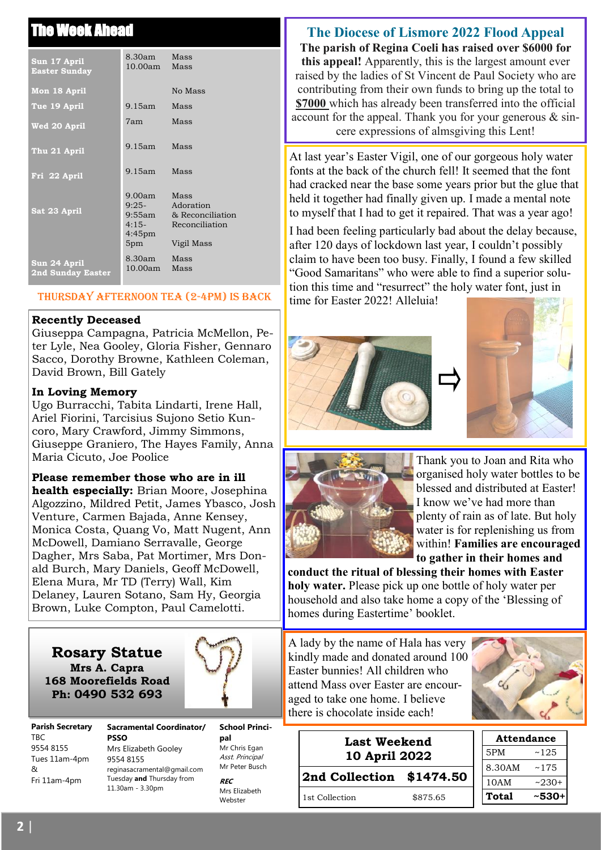## **The Ahead**

| Sun 17 April<br><b>Easter Sunday</b>     | 8.30am<br>10.00am                                          | Mass<br>Mass                                                          |
|------------------------------------------|------------------------------------------------------------|-----------------------------------------------------------------------|
| Mon 18 April                             |                                                            | No Mass                                                               |
| Tue 19 April                             | $9.15$ am                                                  | Mass                                                                  |
| Wed 20 April                             | 7am -                                                      | Mass                                                                  |
| Thu 21 April                             | $9.15$ am                                                  | Mass                                                                  |
| Fri 22 April                             | $9.15$ am                                                  | Mass                                                                  |
| Sat 23 April                             | 9.00am<br>$9:25-$<br>9:55am<br>$4:15-$<br>$4:45$ pm<br>5pm | Mass<br>Adoration<br>& Reconciliation<br>Reconciliation<br>Vigil Mass |
| Sun 24 April<br><b>2nd Sunday Easter</b> | 8.30am<br>10.00am                                          | Mass<br>Mass                                                          |

#### Thursday afternoon tea (2-4pm) is back

#### **Recently Deceased**

Giuseppa Campagna, Patricia McMellon, Peter Lyle, Nea Gooley, Gloria Fisher, Gennaro Sacco, Dorothy Browne, Kathleen Coleman, David Brown, Bill Gately

#### **In Loving Memory**

Ugo Burracchi, Tabita Lindarti, Irene Hall, Ariel Fiorini, Tarcisius Sujono Setio Kuncoro, Mary Crawford, Jimmy Simmons, Giuseppe Graniero, The Hayes Family, Anna Maria Cicuto, Joe Poolice

#### **Please remember those who are in ill**

**health especially:** Brian Moore, Josephina Algozzino, Mildred Petit, James Ybasco, Josh Venture, Carmen Bajada, Anne Kensey, Monica Costa, Quang Vo, Matt Nugent, Ann McDowell, Damiano Serravalle, George Dagher, Mrs Saba, Pat Mortimer, Mrs Donald Burch, Mary Daniels, Geoff McDowell, Elena Mura, Mr TD (Terry) Wall, Kim Delaney, Lauren Sotano, Sam Hy, Georgia Brown, Luke Compton, Paul Camelotti.

#### **Rosary Statue Mrs A. Capra 168 Moorefields Road Ph: 0490 532 693**



**Parish Secretary**  TBC 9554 8155 Tues 11am-4pm & Fri 11am-4pm

**Sacramental Coordinator/ PSSO** Mrs Elizabeth Gooley 9554 8155 reginasacramental@gmail.com Tuesday **and** Thursday from 11.30am - 3.30pm

**School Principal Mr Chris Egan** Asst. Principal Mr Peter Busch

**REC** Mrs Elizabeth Webster

## **The Diocese of Lismore 2022 Flood Appeal**

**The parish of Regina Coeli has raised over \$6000 for this appeal!** Apparently, this is the largest amount ever raised by the ladies of St Vincent de Paul Society who are contributing from their own funds to bring up the total to **\$7000** which has already been transferred into the official account for the appeal. Thank you for your generous  $\&$  sincere expressions of almsgiving this Lent!

At last year's Easter Vigil, one of our gorgeous holy water fonts at the back of the church fell! It seemed that the font had cracked near the base some years prior but the glue that held it together had finally given up. I made a mental note to myself that I had to get it repaired. That was a year ago!

I had been feeling particularly bad about the delay because, after 120 days of lockdown last year, I couldn't possibly claim to have been too busy. Finally, I found a few skilled "Good Samaritans" who were able to find a superior solution this time and "resurrect" the holy water font, just in time for Easter 2022! Alleluia!







Thank you to Joan and Rita who organised holy water bottles to be blessed and distributed at Easter! I know we've had more than plenty of rain as of late. But holy water is for replenishing us from within! **Families are encouraged to gather in their homes and** 

**conduct the ritual of blessing their homes with Easter holy water.** Please pick up one bottle of holy water per household and also take home a copy of the 'Blessing of homes during Eastertime' booklet.

A lady by the name of Hala has very kindly made and donated around 100 Easter bunnies! All children who attend Mass over Easter are encouraged to take one home. I believe there is chocolate inside each!



| <b>Last Weekend</b><br>10 April 2022 |          | <b>Attendance</b> |         |
|--------------------------------------|----------|-------------------|---------|
|                                      |          | 5PM               | ~125    |
|                                      |          | 8.30AM            | ~175    |
| 2nd Collection \$1474.50             |          | 10AM              | $-230+$ |
| 1st Collection                       | \$875.65 | <b>Total</b>      | ~530+   |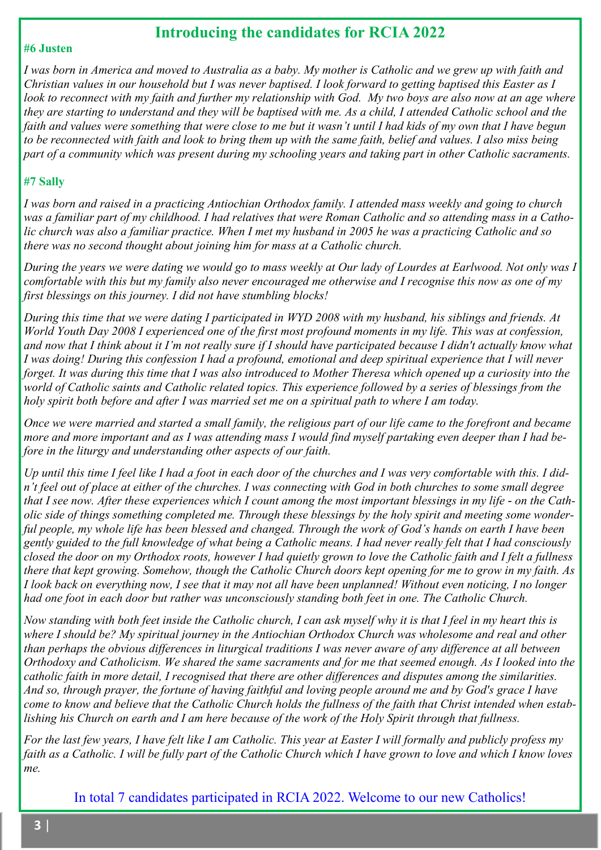## **Introducing the candidates for RCIA 2022**

#### **#6 Justen**

*I was born in America and moved to Australia as a baby. My mother is Catholic and we grew up with faith and Christian values in our household but I was never baptised. I look forward to getting baptised this Easter as I look to reconnect with my faith and further my relationship with God. My two boys are also now at an age where they are starting to understand and they will be baptised with me. As a child, I attended Catholic school and the faith and values were something that were close to me but it wasn't until I had kids of my own that I have begun to be reconnected with faith and look to bring them up with the same faith, belief and values. I also miss being part of a community which was present during my schooling years and taking part in other Catholic sacraments.*

#### **#7 Sally**

*I was born and raised in a practicing Antiochian Orthodox family. I attended mass weekly and going to church was a familiar part of my childhood. I had relatives that were Roman Catholic and so attending mass in a Catholic church was also a familiar practice. When I met my husband in 2005 he was a practicing Catholic and so there was no second thought about joining him for mass at a Catholic church.*

*During the years we were dating we would go to mass weekly at Our lady of Lourdes at Earlwood. Not only was I comfortable with this but my family also never encouraged me otherwise and I recognise this now as one of my first blessings on this journey. I did not have stumbling blocks!*

*During this time that we were dating I participated in WYD 2008 with my husband, his siblings and friends. At World Youth Day 2008 I experienced one of the first most profound moments in my life. This was at confession, and now that I think about it I'm not really sure if I should have participated because I didn't actually know what I was doing! During this confession I had a profound, emotional and deep spiritual experience that I will never forget. It was during this time that I was also introduced to Mother Theresa which opened up a curiosity into the world of Catholic saints and Catholic related topics. This experience followed by a series of blessings from the holy spirit both before and after I was married set me on a spiritual path to where I am today.*

*Once we were married and started a small family, the religious part of our life came to the forefront and became more and more important and as I was attending mass I would find myself partaking even deeper than I had before in the liturgy and understanding other aspects of our faith.*

*Up until this time I feel like I had a foot in each door of the churches and I was very comfortable with this. I didn't feel out of place at either of the churches. I was connecting with God in both churches to some small degree that I see now. After these experiences which I count among the most important blessings in my life - on the Catholic side of things something completed me. Through these blessings by the holy spirit and meeting some wonderful people, my whole life has been blessed and changed. Through the work of God's hands on earth I have been gently guided to the full knowledge of what being a Catholic means. I had never really felt that I had consciously closed the door on my Orthodox roots, however I had quietly grown to love the Catholic faith and I felt a fullness there that kept growing. Somehow, though the Catholic Church doors kept opening for me to grow in my faith. As I look back on everything now, I see that it may not all have been unplanned! Without even noticing, I no longer had one foot in each door but rather was unconsciously standing both feet in one. The Catholic Church.*

*Now standing with both feet inside the Catholic church, I can ask myself why it is that I feel in my heart this is where I should be? My spiritual journey in the Antiochian Orthodox Church was wholesome and real and other than perhaps the obvious differences in liturgical traditions I was never aware of any difference at all between Orthodoxy and Catholicism. We shared the same sacraments and for me that seemed enough. As I looked into the catholic faith in more detail, I recognised that there are other differences and disputes among the similarities. And so, through prayer, the fortune of having faithful and loving people around me and by God's grace I have come to know and believe that the Catholic Church holds the fullness of the faith that Christ intended when establishing his Church on earth and I am here because of the work of the Holy Spirit through that fullness.*

*For the last few years, I have felt like I am Catholic. This year at Easter I will formally and publicly profess my faith as a Catholic. I will be fully part of the Catholic Church which I have grown to love and which I know loves me.*

In total 7 candidates participated in RCIA 2022. Welcome to our new Catholics!